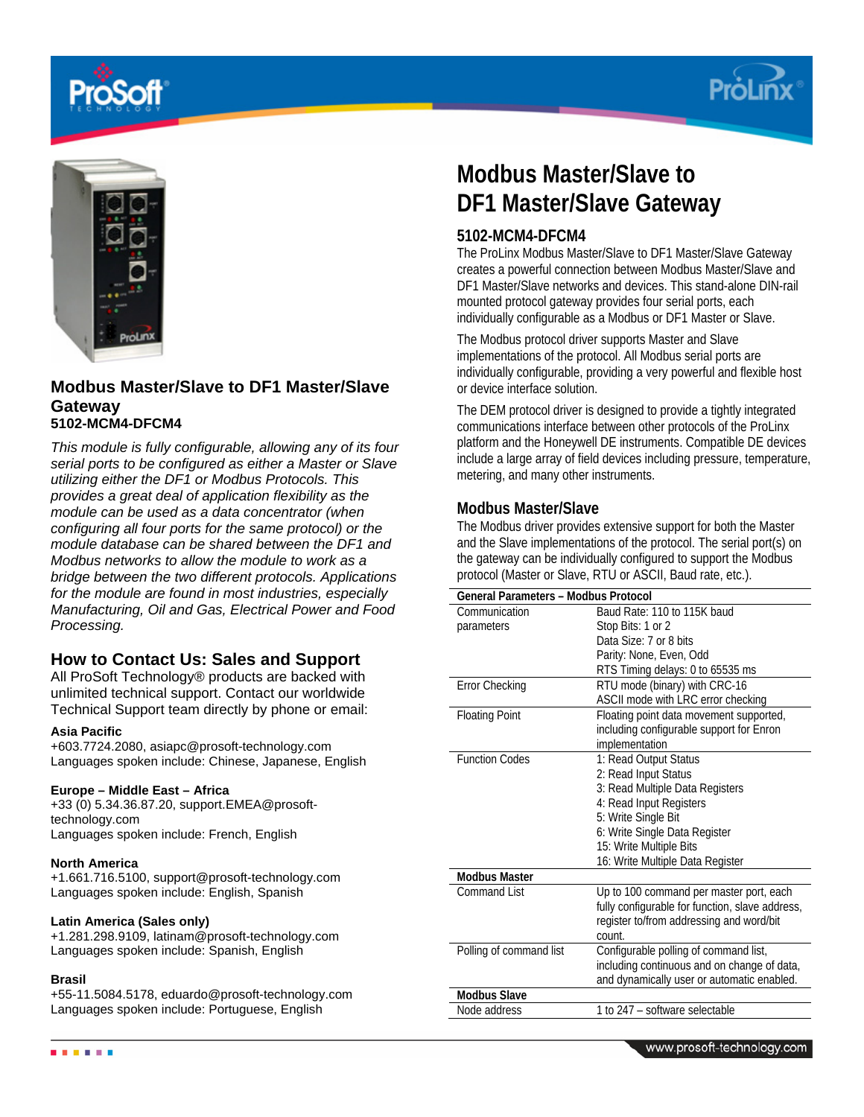





## **Modbus Master/Slave to DF1 Master/Slave Gateway 5102-MCM4-DFCM4**

*This module is fully configurable, allowing any of its four serial ports to be configured as either a Master or Slave utilizing either the DF1 or Modbus Protocols. This provides a great deal of application flexibility as the module can be used as a data concentrator (when configuring all four ports for the same protocol) or the module database can be shared between the DF1 and Modbus networks to allow the module to work as a bridge between the two different protocols. Applications for the module are found in most industries, especially Manufacturing, Oil and Gas, Electrical Power and Food Processing.* 

# **How to Contact Us: Sales and Support**

All ProSoft Technology® products are backed with unlimited technical support. Contact our worldwide Technical Support team directly by phone or email:

## **Asia Pacific**

+603.7724.2080, asiapc@prosoft-technology.com Languages spoken include: Chinese, Japanese, English

## **Europe – Middle East – Africa**

+33 (0) 5.34.36.87.20, support.EMEA@prosofttechnology.com Languages spoken include: French, English

#### **North America**

+1.661.716.5100, support@prosoft-technology.com Languages spoken include: English, Spanish

#### **Latin America (Sales only)**

+1.281.298.9109, latinam@prosoft-technology.com Languages spoken include: Spanish, English

#### **Brasil**

+55-11.5084.5178, eduardo@prosoft-technology.com Languages spoken include: Portuguese, English

# **Modbus Master/Slave to DF1 Master/Slave Gateway**

## **5102-MCM4-DFCM4**

The ProLinx Modbus Master/Slave to DF1 Master/Slave Gateway creates a powerful connection between Modbus Master/Slave and DF1 Master/Slave networks and devices. This stand-alone DIN-rail mounted protocol gateway provides four serial ports, each individually configurable as a Modbus or DF1 Master or Slave.

The Modbus protocol driver supports Master and Slave implementations of the protocol. All Modbus serial ports are individually configurable, providing a very powerful and flexible host or device interface solution.

The DEM protocol driver is designed to provide a tightly integrated communications interface between other protocols of the ProLinx platform and the Honeywell DE instruments. Compatible DE devices include a large array of field devices including pressure, temperature, metering, and many other instruments.

## **Modbus Master/Slave**

The Modbus driver provides extensive support for both the Master and the Slave implementations of the protocol. The serial port(s) on the gateway can be individually configured to support the Modbus protocol (Master or Slave, RTU or ASCII, Baud rate, etc.).

| <b>General Parameters - Modbus Protocol</b> |                                                 |
|---------------------------------------------|-------------------------------------------------|
| Communication                               | Baud Rate: 110 to 115K baud                     |
| parameters                                  | Stop Bits: 1 or 2                               |
|                                             | Data Size: 7 or 8 bits                          |
|                                             | Parity: None, Even, Odd                         |
|                                             | RTS Timing delays: 0 to 65535 ms                |
| <b>Error Checking</b>                       | RTU mode (binary) with CRC-16                   |
|                                             | ASCII mode with LRC error checking              |
| <b>Floating Point</b>                       | Floating point data movement supported,         |
|                                             | including configurable support for Enron        |
|                                             | implementation                                  |
| <b>Function Codes</b>                       | 1: Read Output Status                           |
|                                             | 2: Read Input Status                            |
|                                             | 3: Read Multiple Data Registers                 |
|                                             | 4: Read Input Registers                         |
|                                             | 5: Write Single Bit                             |
|                                             | 6: Write Single Data Register                   |
|                                             | 15: Write Multiple Bits                         |
|                                             | 16: Write Multiple Data Register                |
| <b>Modbus Master</b>                        |                                                 |
| Command List                                | Up to 100 command per master port, each         |
|                                             | fully configurable for function, slave address, |
|                                             | register to/from addressing and word/bit        |
|                                             | count.                                          |
| Polling of command list                     | Configurable polling of command list,           |
|                                             | including continuous and on change of data,     |
|                                             | and dynamically user or automatic enabled.      |
| <b>Modbus Slave</b>                         |                                                 |
| Node address                                | 1 to 247 - software selectable                  |